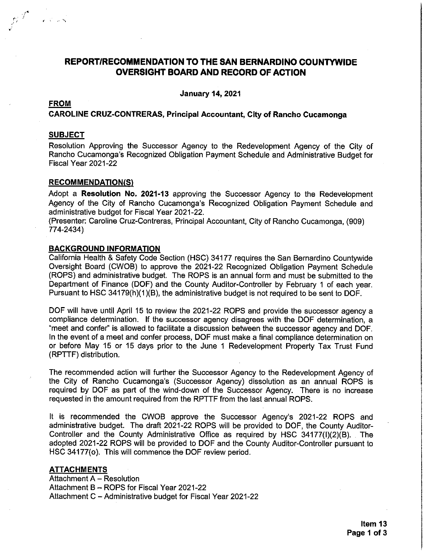## **REPORT/RECOMMENDATION TO THE SAN BERNARDINO COUNTYWIDE OVERSIGHT BOARD AND RECORD OF ACTION**

**January 14, 2021** 

## **FROM**

and Control

## **CAROLINE CRUZ-CONTRERAS, Principal Accountant, City of Rancho Cucamonga**

## **SUBJECT**

Resolution Approving the Successor Agency to the Redevelopment Agency of the City of Rancho Cucamonga's Recognized Obligation Payment Schedule and Administrative Budget for Fiscal Year 2021-22

#### **RECOMMENDATION(S)**

Adopt a Resolution No. 2021-13 approving the Successor Agency to the Redevelopment Agency of the City of Rancho Cucamonga's Recognized Obligation Payment Schedule and administrative budget for Fiscal Year 2021-22.

(Presenter: Caroline Cruz-Contreras, Principal Accountant, City of Rancho Cucamonga, (909) 774-2434)

#### **BACKGROUND INFORMATION**

California Health & Safety Code Section (HSC) 34177 requires the San Bernardino Countywide Oversight Board (CWOB) to approve the 2021-22 Recognized Obligation Payment Schedule (ROPS) and administrative budget. The ROPS is an annual form and must be submitted to the Department of Finance (DOF) and the County Auditor-Controller by February 1 of each year. Pursuant to HSC 34179(h)(1)(B), the administrative budget is not required to be sent to DOF.

DOF will have until April 15 to review the 2021-22 ROPS and provide the successor agency a compliance determination. If the successor agency disagrees with the DOF determination, a "meet and confer" is allowed to facilitate a discussion between the successor agency and DOF. In the event of a meet and confer process, DOF must make a final compliance determination on or before May 15 or 15 days prior to the June 1 Redevelopment Property Tax Trust Fund (RPTTF) distribution.

The recommended action will further the Successor Agency to the Redevelopment Agency of the City of Rancho Cucamonga's (Successor Agency) dissolution as an annual ROPS is required by DOF as part of the wind-down of the Successor Agency. There is no increase requested in the amount required from the RPTTF from the last annual ROPS.

It is recommended the CWOB approve the Successor Agency's 2021-22 ROPS and administrative budget. The draft 2021-22 ROPS will be provided to DOF, the County Auditor-Controller and the County Administrative Office as required by HSC 34177(I)(2)(B). The adopted 2021-22 ROPS will be provided to DOF and the County Auditor-Controller pursuant to HSC 34177(o). This will commence the DOF review period.

#### **ATTACHMENTS**

Attachment A - Resolution Attachment B - ROPS for Fiscal Year 2021-22 Attachment C - Administrative budget for Fiscal Year 2021-22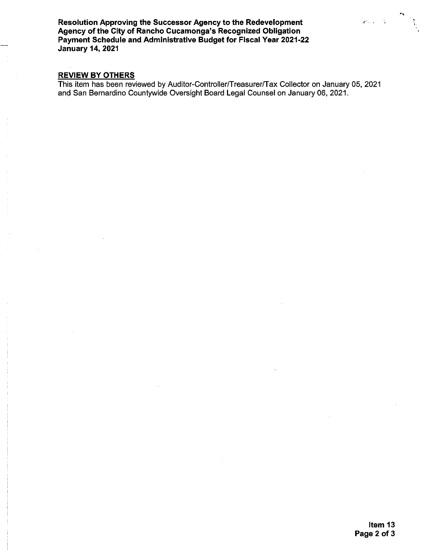Resolution Approving the Successor Agency to the Redevelopment Agency of the City of Rancho Cucamonga's Recognized Obligation Payment Schedule and Administrative Budget for Fiscal Year 2021-22 **January 14, 2021** 

### **REVIEW BY OTHERS**

This item has been reviewed by Auditor-Controller/Treasurer/Tax Collector on January 05, 2021 and San Bernardino Countywide Oversight Board Legal Counsel on January 06, 2021.

.<br>Kabupatèn K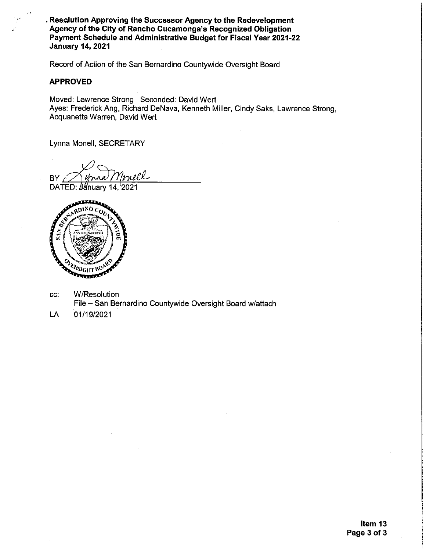. Resclution Approving the Successor Agency to the Redevelopment Agency of the City of Rancho Cucamonga's Recognized Obligation Payment Schedule and Administrative Budget for Fiscal Year 2021-22 **January 14, 2021** 

Record of Action of the San Bernardino Countywide Oversight Board

#### **APPROVED**

Moved: Lawrence Strong Seconded: David Wert Ayes: Frederick Ang, Richard DeNava, Kenneth Miller, Cindy Saks, Lawrence Strong, Acquanetta Warren, David Wert

Lynna Monell, SECRETARY

riell BY.

DATED: January 14, 2021



- CC. W/Resolution File - San Bernardino Countywide Oversight Board w/attach
- LA 01/19/2021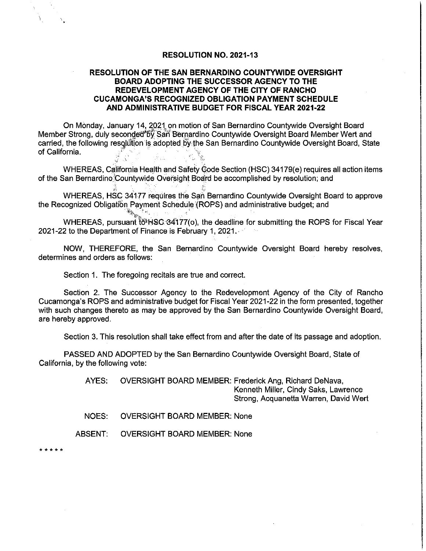#### **RESOLUTION NO. 2021-13**

## RESOLUTION OF THE SAN BERNARDINO COUNTYWIDE OVERSIGHT **BOARD ADOPTING THE SUCCESSOR AGENCY TO THE** REDEVELOPMENT AGENCY OF THE CITY OF RANCHO **CUCAMONGA'S RECOGNIZED OBLIGATION PAYMENT SCHEDULE** AND ADMINISTRATIVE BUDGET FOR FISCAL YEAR 2021-22

On Monday, January 14, 2021 on motion of San Bernardino Countywide Oversight Board Member Strong, duly seconded\*by San Bernardino Countywide Oversight Board Member Wert and carried, the following resolution is adopted by the San Bernardino Countywide Oversight Board, State of California.

WHEREAS, California Health and Safety Code Section (HSC) 34179(e) requires all action items of the San Bernardino Countywide Oversight Board be accomplished by resolution; and

WHEREAS, HSC 34177 requires the San Bernardino Countywide Oversight Board to approve the Recognized Obligation Payment Schedule (ROPS) and administrative budget; and  $\mathbb{E} \mathcal{E}_{\mathbf{X}_1}$  .

WHEREAS, pursuant to HSC 34177(o), the deadline for submitting the ROPS for Fiscal Year 2021-22 to the Department of Finance is February 1, 2021.

NOW, THEREFORE, the San Bernardino Countywide Oversight Board hereby resolves, determines and orders as follows:

Section 1. The foregoing recitals are true and correct.

Section 2. The Successor Agency to the Redevelopment Agency of the City of Rancho Cucamonga's ROPS and administrative budget for Fiscal Year 2021-22 in the form presented, together with such changes thereto as may be approved by the San Bernardino Countywide Oversight Board, are hereby approved.

Section 3. This resolution shall take effect from and after the date of its passage and adoption.

PASSED AND ADOPTED by the San Bernardino Countywide Oversight Board, State of California, by the following vote:

> AYES: OVERSIGHT BOARD MEMBER: Frederick Ang, Richard DeNava, Kenneth Miller, Cindy Saks, Lawrence Strong, Acquanetta Warren, David Wert

NOES: **OVERSIGHT BOARD MEMBER: None** 

**ABSENT: OVERSIGHT BOARD MEMBER: None** 

 $4.4.4.4$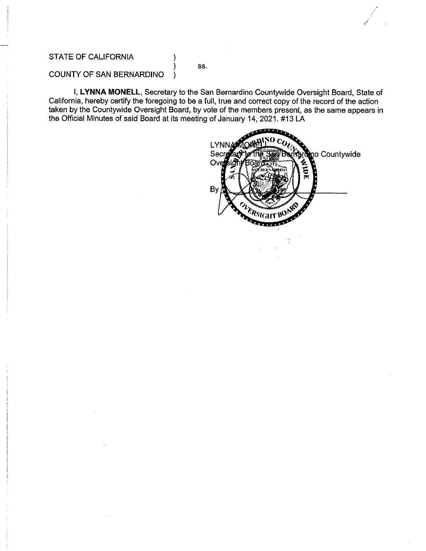## **STATE OF CALIFORNIA**

SS.

١

#### COUNTY OF SAN BERNARDINO  $\lambda$

I, LYNNA MONELL, Secretary to the San Bernardino Countywide Oversight Board, State of California, hereby certify the foregoing to be a full, true and correct copy of the record of the action taken by the Countywide Oversight Board, by vote of the members present, as the same appears in the Official Minutes of said Board at its meeting of January 14, 2021. #13 LA

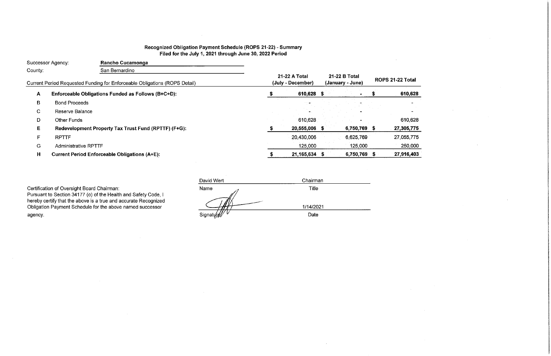# Recognized Obligation Payment Schedule (ROPS 21-22) - Summary Filed for the July 1, 2021 through June 30, 2022 Period

|         | Successor Agency:           | <b>Rancho Cucamonga</b>                                                    |                                    |                                   |                   |
|---------|-----------------------------|----------------------------------------------------------------------------|------------------------------------|-----------------------------------|-------------------|
| County: |                             | San Bernardino                                                             |                                    |                                   |                   |
|         |                             | Current Period Requested Funding for Enforceable Obligations (ROPS Detail) | 21-22 A Total<br>(July - December) | 21-22 B Total<br>(January - June) | <b>ROPS 21-22</b> |
| A       |                             | Enforceable Obligations Funded as Follows (B+C+D):                         | 610,628 \$                         |                                   | -61               |
| В       | <b>Bond Proceeds</b>        |                                                                            |                                    |                                   |                   |
| C.      | Reserve Balance             |                                                                            |                                    |                                   |                   |
| D       | <b>Other Funds</b>          |                                                                            | 610,628                            |                                   | $6^{\circ}$       |
| Е       |                             | Redevelopment Property Tax Trust Fund (RPTTF) (F+G):                       | 20,555,006 \$                      | 6,750,769 \$                      | 27,30             |
| F       | <b>RPTTF</b>                |                                                                            | 20,430,006                         | 6,625,769                         | 27,0              |
| G       | <b>Administrative RPTTF</b> |                                                                            | 125,000                            | 125,000                           | 25                |
| H       |                             | <b>Current Period Enforceable Obligations (A+E):</b>                       | 21,165,634 \$                      | 6,750,769 \$                      | 27,9'             |

Certification of Oversight Board Chairman:<br>Pursuant to Section 34177 (o) of the Health and Safety Code, I<br>hereby certify that the above is a true and accurate Recognized<br>Obligation Payment Schedule for the above named succ agency.

| David Wert | Chairman     |  |
|------------|--------------|--|
| Name       | <b>Title</b> |  |
|            |              |  |
|            |              |  |
|            | 1/14/2021    |  |
| Signatyre  | Date         |  |

**Total** 10,628  $\sim$  $\overline{\phantom{a}}$ 10,628 105,775 155,775  $250,000$  $16,403$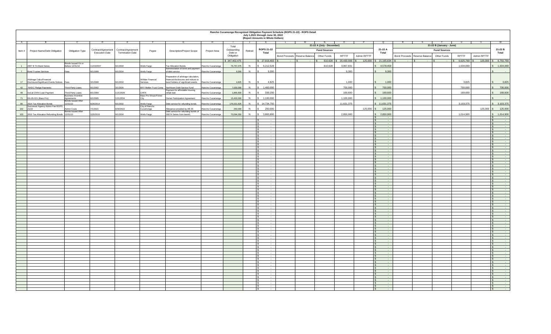|                | Rancho Cucamonga Recognized Obligation Payment Schedule (ROPS 21-22) - ROPS Detail<br>July 1,2021 through June 30, 2022<br>(Report Amounts in Whole Dollars) |                                         |                       |                         |                               |                                                                                            |                  |                       |              |                         |                               |                           |                          |              |                          |                                              |                      |                         |
|----------------|--------------------------------------------------------------------------------------------------------------------------------------------------------------|-----------------------------------------|-----------------------|-------------------------|-------------------------------|--------------------------------------------------------------------------------------------|------------------|-----------------------|--------------|-------------------------|-------------------------------|---------------------------|--------------------------|--------------|--------------------------|----------------------------------------------|----------------------|-------------------------|
| A              |                                                                                                                                                              |                                         |                       |                         |                               |                                                                                            | н.               |                       |              |                         |                               | N                         | $\Omega$                 |              |                          |                                              |                      |                         |
|                |                                                                                                                                                              |                                         |                       |                         |                               |                                                                                            |                  | Total                 |              |                         |                               | 21-22 A (July - December) |                          |              |                          | 21-22 B (January - June)                     |                      |                         |
| Item#          | Project Name/Debt Obligation                                                                                                                                 | Obligation Type                         | Contract/Agreement    | Contract/Agreement      | Payee                         | <b>Description/Project Scope</b>                                                           | Project Area     | Outstanding           | Retired      | ROPS 21-22              |                               | <b>Fund Sources</b>       |                          |              | 21-22 A                  | <b>Fund Sources</b>                          |                      | 21-22 B                 |
|                |                                                                                                                                                              |                                         | <b>Execution Date</b> | <b>Termination Date</b> |                               |                                                                                            |                  | Debt or<br>Obligation |              | Total                   | Bond Proceeds Reserve Balance | Other Funds               | RPTTF                    | Admin RPTTF  | Total                    | Bond Proceeds Reserve Balance<br>Other Funds | RPTTF<br>Admin RPTTF | Total                   |
|                |                                                                                                                                                              |                                         |                       |                         |                               |                                                                                            |                  |                       |              |                         |                               |                           |                          |              |                          |                                              |                      |                         |
|                |                                                                                                                                                              | Bonds Issued On or                      |                       |                         |                               |                                                                                            |                  | \$347,402,475         |              | $S$ 27,916,403 \$       |                               |                           | 610,628 \$ 20,430,006 \$ |              | 125,000 \$ 21,165,634 \$ |                                              | $-$ \$ 6,625,769 \$  | 125,000 \$ 6,750,769    |
| $\overline{1}$ | 2007 B TA Bond Series                                                                                                                                        | Before 12/31/10                         | 11/15/2007            | 9/1/2034                | Wells Fargo                   | Tax Allocation Bonds                                                                       | Rancho Cucamonga | 76,757,075            | N            | \$6,212,528             |                               | 610,628                   | 3,967,831                |              | 4,578,459                |                                              | 1,634,069            | 1,634,069               |
| 7              | <b>Bond Trustee Services</b>                                                                                                                                 | Fees                                    | 9/1/1999              | 9/1/2034                | Wells Fargo                   | Administration of bond and payment<br>of debt service                                      | Rancho Cucamonga | 9,300                 | N            | 9,300                   |                               |                           | 9,300                    |              | 9,300                    |                                              |                      |                         |
|                |                                                                                                                                                              |                                         |                       |                         |                               |                                                                                            |                  |                       |              |                         |                               |                           |                          |              |                          |                                              |                      |                         |
|                |                                                                                                                                                              |                                         |                       |                         |                               | Preparation of arbitrage calculation,                                                      |                  |                       |              |                         |                               |                           |                          |              |                          |                                              |                      |                         |
| 17             | Arbitrage Calcs/Financial<br>Disclosure/Significant Events Notices Fees                                                                                      |                                         | 3/1/2008              | 9/1/2034                | Willdan Financial<br>Services | financial disclosures and notices to<br>ond holders of significant events Rancho Cucamonga |                  | 4,825                 | N            | 4,825                   |                               |                           | 1,000                    |              | 1,000                    |                                              | 3,825                | 3,825                   |
| 42             | NHDC Pledge Payments                                                                                                                                         | Third-Party Loans                       | 9/1/2002              | 3/1/2026                | BNY Mellon Trust Comp         | Northtown Debt Service Fund                                                                | Rancho Cucamonga | 7,000,000             | N            | 1,400,000<br>$\epsilon$ |                               |                           | 700,000                  |              | 700,000                  |                                              | 700,000              | 700,000                 |
|                |                                                                                                                                                              |                                         |                       |                         |                               | Payment for affordable housing                                                             |                  |                       |              |                         |                               |                           |                          |              |                          |                                              |                      |                         |
| 48             | SoCal CHFA Loan Payment                                                                                                                                      | Third-Party Loans                       | 8/1/1994              | 1/1/2026                | CHFA<br>Bass Pro Shops/Forest | rehab loan                                                                                 | Rancho Cucamonga | 1,865,600             | $\mathsf{N}$ | 339,200                 |                               |                           | 169,600                  |              | 169,600                  |                                              | 169,600              | 169,600                 |
| 71             | RA-05-021 (Bass Pro)                                                                                                                                         | <b>Business Incentive</b><br>Agreements | /1/2005               | 12/1/2034               |                               | Owner Participation Agreement                                                              | Rancho Cucamonga | 15,400,000            | N            | 1,100,000               |                               |                           | 1,100,000                |              | 1,100,000                |                                              |                      |                         |
|                |                                                                                                                                                              | <b>Bonds Issued After</b>               |                       |                         |                               |                                                                                            |                  |                       |              |                         |                               |                           |                          |              |                          |                                              |                      |                         |
| 95             | 2014 Tax Allocation Bonds<br>Successor Agency Admin Fee ROPS                                                                                                 | 12/31/10                                | 6/26/2014             | 9/1/2032                | Wells Fargo<br>City of Rancho | Debt service for refunding bonds                                                           | Rancho Cucamonga | 176,021,625           | N            | \$14,734,750            |                               |                           | 11,631,375               |              | \$11,631,375             |                                              | 3,103,375            | 3,103,375               |
| 102            | 21/22                                                                                                                                                        | Admin Costs                             | /1/2021               | /30/2022                | Cucamonga                     | Allowance provided by AB 26                                                                | Rancho Cucamonga | 250,000               | N            | 250,000                 |                               |                           |                          | $125,000$ \$ | 125,000                  |                                              | $125,000$ \$         | 125,000                 |
|                | 103 2016 Tax Allocation Refunding Bonds 12/31/10                                                                                                             | <b>Bonds Issued After</b>               | 10/5/2016             | 9/1/2034                | Wells Fargo                   | Debt service for refunding bonds of<br>2007A Series from item#1                            | Rancho Cucamonga | 70,094,050            |              | 3,865,800               |                               |                           | 2,850,900                |              | 2,850,900                |                                              | 1,014,900            | 1,014,900               |
|                |                                                                                                                                                              |                                         |                       |                         |                               |                                                                                            |                  |                       |              |                         |                               |                           |                          |              |                          |                                              |                      |                         |
|                |                                                                                                                                                              |                                         |                       |                         |                               |                                                                                            |                  |                       |              | $\sim$                  |                               |                           |                          |              | $\sim$                   |                                              |                      | $\sim 100$<br>$\sim$    |
|                |                                                                                                                                                              |                                         |                       |                         |                               |                                                                                            |                  |                       |              | $\sim$                  |                               |                           |                          |              |                          |                                              |                      | $\sim$<br>$\sim$        |
|                |                                                                                                                                                              |                                         |                       |                         |                               |                                                                                            |                  |                       |              |                         |                               |                           |                          |              | $\sim$                   |                                              |                      | $\sim$ $\sim$           |
|                |                                                                                                                                                              |                                         |                       |                         |                               |                                                                                            |                  |                       |              | $\sim$                  |                               |                           |                          |              | $\sim$                   |                                              |                      | $\sim$                  |
|                |                                                                                                                                                              |                                         |                       |                         |                               |                                                                                            |                  |                       |              | $\sim$                  |                               |                           |                          |              | $\sim$<br>$\sim$         |                                              |                      | $\sim$<br>$\sim$        |
|                |                                                                                                                                                              |                                         |                       |                         |                               |                                                                                            |                  |                       |              | $\sim$<br>$\sim$        |                               |                           |                          |              | $\sim$                   |                                              |                      | $\sim 10^{-1}$          |
|                |                                                                                                                                                              |                                         |                       |                         |                               |                                                                                            |                  |                       |              | $\sim$                  |                               |                           |                          |              |                          |                                              |                      | $\sim$                  |
|                |                                                                                                                                                              |                                         |                       |                         |                               |                                                                                            |                  |                       |              | $\sim$                  |                               |                           |                          |              | $\sim$<br>$\sim$         |                                              |                      | $\sim$<br>$\sim$ $\sim$ |
|                |                                                                                                                                                              |                                         |                       |                         |                               |                                                                                            |                  |                       |              | $\sim$<br>$\sim$        |                               |                           |                          |              | $\sim$                   |                                              |                      | $\sim$                  |
|                |                                                                                                                                                              |                                         |                       |                         |                               |                                                                                            |                  |                       |              | $\sim$                  |                               |                           |                          |              | $\sim$                   |                                              |                      | $\sim$                  |
|                |                                                                                                                                                              |                                         |                       |                         |                               |                                                                                            |                  |                       |              | $\sim$                  |                               |                           |                          |              |                          |                                              |                      | $\sim$                  |
|                |                                                                                                                                                              |                                         |                       |                         |                               |                                                                                            |                  |                       |              | $\sim$<br>$\sim$        |                               |                           |                          |              | $\sim$                   |                                              |                      | $\sim$ $\sim$<br>$\sim$ |
|                |                                                                                                                                                              |                                         |                       |                         |                               |                                                                                            |                  |                       |              | $\sim$                  |                               |                           |                          |              | $\sim$                   |                                              |                      | $\sim$                  |
|                |                                                                                                                                                              |                                         |                       |                         |                               |                                                                                            |                  |                       |              |                         |                               |                           |                          |              |                          |                                              |                      |                         |
|                |                                                                                                                                                              |                                         |                       |                         |                               |                                                                                            |                  |                       |              | $\sim$<br>$\sim$        |                               |                           |                          |              | $\sim$<br>$\sim$         |                                              |                      | $\sim$<br>$\sim$        |
|                |                                                                                                                                                              |                                         |                       |                         |                               |                                                                                            |                  |                       |              | $\sim$                  |                               |                           |                          |              |                          |                                              |                      |                         |
|                |                                                                                                                                                              |                                         |                       |                         |                               |                                                                                            |                  |                       |              | $\sim$                  |                               |                           |                          |              | $\sim$                   |                                              |                      | $\sim$                  |
|                |                                                                                                                                                              |                                         |                       |                         |                               |                                                                                            |                  |                       |              | $\sim$<br>$\sim$        |                               |                           |                          |              | $\sim$                   |                                              |                      | $\sim$<br>$\sim$        |
|                |                                                                                                                                                              |                                         |                       |                         |                               |                                                                                            |                  |                       |              |                         |                               |                           |                          |              |                          |                                              |                      |                         |
|                |                                                                                                                                                              |                                         |                       |                         |                               |                                                                                            |                  |                       |              | $\sim$                  |                               |                           |                          |              | $\sim$                   |                                              |                      | $\sim$                  |
|                |                                                                                                                                                              |                                         |                       |                         |                               |                                                                                            |                  |                       |              | $\sim$                  |                               |                           |                          |              | $\sim$                   |                                              |                      | $\sim$                  |
|                |                                                                                                                                                              |                                         |                       |                         |                               |                                                                                            |                  |                       |              | $\sim$                  |                               |                           |                          |              | $\sim$                   |                                              |                      | $\sim$                  |
|                |                                                                                                                                                              |                                         |                       |                         |                               |                                                                                            |                  |                       |              | $\sim$<br>l S           |                               |                           |                          |              |                          |                                              |                      | $\sim$                  |
|                |                                                                                                                                                              |                                         |                       |                         |                               |                                                                                            |                  |                       |              | $\sim$                  |                               |                           |                          |              | $\sim$                   |                                              |                      | $\sim$                  |
|                |                                                                                                                                                              |                                         |                       |                         |                               |                                                                                            |                  |                       |              | $\sim$                  |                               |                           |                          |              | $\sim$                   |                                              |                      | $\sim$                  |
|                |                                                                                                                                                              |                                         |                       |                         |                               |                                                                                            |                  |                       |              | $\sim$                  |                               |                           |                          |              | $\sim$                   |                                              |                      | $\sim$                  |
|                |                                                                                                                                                              |                                         |                       |                         |                               |                                                                                            |                  |                       |              | $\sim$                  |                               |                           |                          |              | $\sim$<br>$\sim$         |                                              |                      | $\sim$<br>$\sim$        |
|                |                                                                                                                                                              |                                         |                       |                         |                               |                                                                                            |                  |                       |              | $\sim$                  |                               |                           |                          |              | $\sim$                   |                                              |                      | $\sim$                  |
|                |                                                                                                                                                              |                                         |                       |                         |                               |                                                                                            |                  |                       |              |                         |                               |                           |                          |              |                          |                                              |                      |                         |
|                |                                                                                                                                                              |                                         |                       |                         |                               |                                                                                            |                  |                       |              | $\sim$<br>$\sim$        |                               |                           |                          |              | $\sim$                   |                                              |                      | $\sim$                  |
|                |                                                                                                                                                              |                                         |                       |                         |                               |                                                                                            |                  |                       |              | $\sim$                  |                               |                           |                          |              | $\sim$                   |                                              |                      | $\sim$                  |
|                |                                                                                                                                                              |                                         |                       |                         |                               |                                                                                            |                  |                       |              | $\sim$                  |                               |                           |                          |              | $\sim$                   |                                              |                      | $\sim$                  |
|                |                                                                                                                                                              |                                         |                       |                         |                               |                                                                                            |                  |                       |              | $\sim$                  |                               |                           |                          |              | $\sim$                   |                                              |                      | $\sim$<br>$\sim$        |
|                |                                                                                                                                                              |                                         |                       |                         |                               |                                                                                            |                  |                       |              | $\sim$                  |                               |                           |                          |              | $\sim$                   |                                              |                      | $\sim$                  |
|                |                                                                                                                                                              |                                         |                       |                         |                               |                                                                                            |                  |                       |              | $\sim$                  |                               |                           |                          |              | $\sim$                   |                                              |                      | $\sim$                  |
|                |                                                                                                                                                              |                                         |                       |                         |                               |                                                                                            |                  |                       |              | $\sim$                  |                               |                           |                          |              | $\sim$                   |                                              |                      | $\sim$                  |
|                |                                                                                                                                                              |                                         |                       |                         |                               |                                                                                            |                  |                       |              | $\sim$<br>$\sim$ $\sim$ |                               |                           |                          |              | $\sim$                   |                                              |                      | $\sim$<br>$\sim$        |
|                |                                                                                                                                                              |                                         |                       |                         |                               |                                                                                            |                  |                       |              | $\sim$                  |                               |                           |                          |              |                          |                                              |                      |                         |
|                |                                                                                                                                                              |                                         |                       |                         |                               |                                                                                            |                  |                       |              | $\sim$                  |                               |                           |                          |              | $\sim$<br>$\sim$         |                                              |                      | $\sim$                  |
|                |                                                                                                                                                              |                                         |                       |                         |                               |                                                                                            |                  |                       |              | $\sim$<br>$\sim$        |                               |                           |                          |              |                          |                                              |                      | $\sim$<br>$\sim$        |
|                |                                                                                                                                                              |                                         |                       |                         |                               |                                                                                            |                  |                       |              |                         |                               |                           |                          |              | $\sim$                   |                                              |                      | $\sim$                  |
|                |                                                                                                                                                              |                                         |                       |                         |                               |                                                                                            |                  |                       |              | $\sim$<br>$\sim$        |                               |                           |                          |              | $\sim$<br>$\sim$         |                                              |                      | $\sim$<br>$\sim$ $\sim$ |
|                |                                                                                                                                                              |                                         |                       |                         |                               |                                                                                            |                  |                       |              |                         |                               |                           |                          |              |                          |                                              |                      |                         |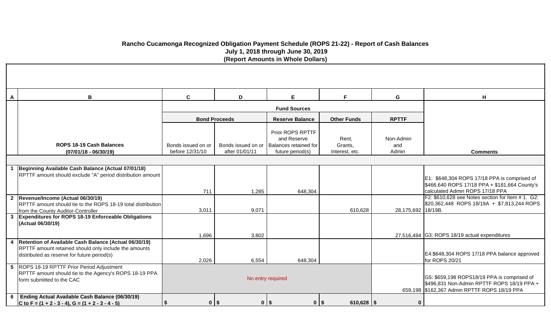# **Rancho Cucamonga Recognized Obligation Payment Schedule (ROPS 21-22) - Report of Cash Balances July 1, 2018 through June 30, 2019 (Report Amounts in Whole Dollars)**

| A | В                                                                                                                                                               | $\mathbf c$                           | D                    | E.                                                                                              | F.                                 | G                         | H                                                                                                                                         |
|---|-----------------------------------------------------------------------------------------------------------------------------------------------------------------|---------------------------------------|----------------------|-------------------------------------------------------------------------------------------------|------------------------------------|---------------------------|-------------------------------------------------------------------------------------------------------------------------------------------|
|   |                                                                                                                                                                 |                                       |                      | <b>Fund Sources</b>                                                                             |                                    |                           |                                                                                                                                           |
|   |                                                                                                                                                                 |                                       | <b>Bond Proceeds</b> | <b>Reserve Balance</b>                                                                          | <b>Other Funds</b>                 | <b>RPTTF</b>              |                                                                                                                                           |
|   | <b>ROPS 18-19 Cash Balances</b><br>$(07/01/18 - 06/30/19)$                                                                                                      | Bonds issued on or<br>before 12/31/10 | after 01/01/11       | Prior ROPS RPTTF<br>and Reserve<br>Bonds issued on or Balances retained for<br>future period(s) | Rent.<br>Grants,<br>Interest, etc. | Non-Admin<br>and<br>Admin | <b>Comments</b>                                                                                                                           |
|   |                                                                                                                                                                 |                                       |                      |                                                                                                 |                                    |                           |                                                                                                                                           |
|   | Beginning Available Cash Balance (Actual 07/01/18)<br>RPTTF amount should exclude "A" period distribution amount                                                |                                       |                      |                                                                                                 |                                    |                           | E1: \$648,304 ROPS 17/18 PPA is comprised of<br>\$466,640 ROPS 17/18 PPA + \$181,664 County's                                             |
|   |                                                                                                                                                                 | 711                                   | 1,285                | 648,304                                                                                         |                                    |                           | calculated Admin ROPS 17/18 PPA                                                                                                           |
|   | 2 Revenue/Income (Actual 06/30/19)<br>RPTTF amount should tie to the ROPS 18-19 total distribution<br>from the County Auditor-Controller                        | 3,011                                 | 9,071                |                                                                                                 | 610,628                            | 28,175,692 18/19B.        | F2: \$610,628 see Notes section for Item # 1. G2:<br>\$20,362,448 ROPS 18/19A + \$7,813,244 ROPS                                          |
|   | 3 Expenditures for ROPS 18-19 Enforceable Obligations<br>(Actual 06/30/19)                                                                                      |                                       |                      |                                                                                                 |                                    |                           |                                                                                                                                           |
|   |                                                                                                                                                                 | 1,696                                 | 3,802                |                                                                                                 |                                    |                           | 27,516,494 G3: ROPS 18/19 actual expenditures                                                                                             |
|   | 4 Retention of Available Cash Balance (Actual 06/30/19)<br>RPTTF amount retained should only include the amounts<br>distributed as reserve for future period(s) | 2,026                                 | 6,554                | 648,304                                                                                         |                                    |                           | E4:\$648,304 ROPS 17/18 PPA balance approved<br>for ROPS 20/21                                                                            |
|   | 5 ROPS 18-19 RPTTF Prior Period Adjustment<br>RPTTF amount should tie to the Agency's ROPS 18-19 PPA<br>form submitted to the CAC                               |                                       |                      | No entry required                                                                               |                                    |                           | G5: \$659,198 ROPS18/19 PPA is comprised of<br>\$496,831 Non-Admin RPTTF ROPS 18/19 PPA +<br>659,198 \$162,367 Admin RPTTF ROPS 18/19 PPA |
| 6 | Ending Actual Available Cash Balance (06/30/19)<br>C to F = $(1 + 2 - 3 - 4)$ , G = $(1 + 2 - 3 - 4 - 5)$                                                       | \$                                    | $0$   $\frac{1}{2}$  | $0$   $\frac{1}{2}$<br>0 <sup>15</sup>                                                          | $610,628$ \ \$                     | $\bf{0}$                  |                                                                                                                                           |